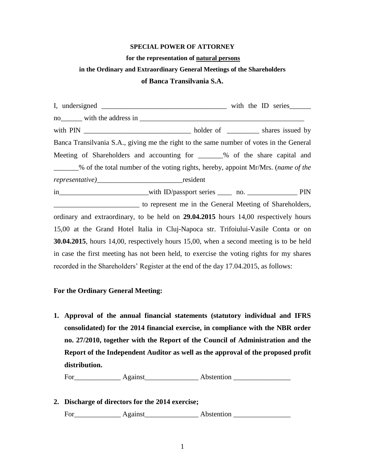### **SPECIAL POWER OF ATTORNEY**

#### **for the representation of natural persons**

# **in the Ordinary and Extraordinary General Meetings of the Shareholders**

## **of Banca Transilvania S.A.**

I, undersigned with the ID series no with the address in  $\blacksquare$ with PIN \_\_\_\_\_\_\_\_\_\_\_\_\_\_\_\_\_\_\_\_\_\_\_\_\_\_\_\_\_\_ holder of \_\_\_\_\_\_\_\_\_ shares issued by Banca Transilvania S.A., giving me the right to the same number of votes in the General Meeting of Shareholders and accounting for  $\%$  of the share capital and \_\_\_\_\_\_\_% of the total number of the voting rights, hereby, appoint Mr/Mrs. (*name of the representative)*\_\_\_\_\_\_\_\_\_\_\_\_\_\_\_\_\_\_\_\_\_\_\_\_resident in\_\_\_\_\_\_\_\_\_\_\_\_\_\_\_\_\_\_\_\_\_\_with ID/passport series \_\_\_\_\_ no. \_\_\_\_\_\_\_\_\_\_\_\_\_\_\_\_\_\_ PIN \_\_\_\_\_\_\_\_\_\_\_\_\_\_\_\_\_\_\_\_\_\_\_\_ to represent me in the General Meeting of Shareholders, ordinary and extraordinary, to be held on **29.04.2015** hours 14,00 respectively hours 15,00 at the Grand Hotel Italia in Cluj-Napoca str. Trifoiului-Vasile Conta or on **30.04.2015**, hours 14,00, respectively hours 15,00, when a second meeting is to be held in case the first meeting has not been held, to exercise the voting rights for my shares recorded in the Shareholders' Register at the end of the day 17.04.2015, as follows:

## **For the Ordinary General Meeting:**

**1. Approval of the annual financial statements (statutory individual and IFRS consolidated) for the 2014 financial exercise, in compliance with the NBR order no. 27/2010, together with the Report of the Council of Administration and the Report of the Independent Auditor as well as the approval of the proposed profit distribution.**

For\_\_\_\_\_\_\_\_\_\_\_\_\_ Against\_\_\_\_\_\_\_\_\_\_\_\_\_\_\_ Abstention \_\_\_\_\_\_\_\_\_\_\_\_\_\_\_\_

**2. Discharge of directors for the 2014 exercise;** 

For\_\_\_\_\_\_\_\_\_\_\_\_\_ Against\_\_\_\_\_\_\_\_\_\_\_\_\_\_\_ Abstention \_\_\_\_\_\_\_\_\_\_\_\_\_\_\_\_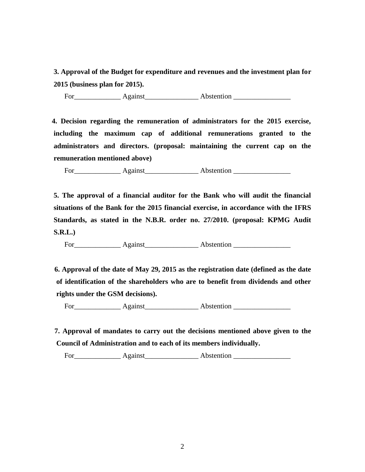**3. Approval of the Budget for expenditure and revenues and the investment plan for 2015 (business plan for 2015).**

For\_\_\_\_\_\_\_\_\_\_\_\_\_ Against\_\_\_\_\_\_\_\_\_\_\_\_\_\_\_ Abstention \_\_\_\_\_\_\_\_\_\_\_\_\_\_\_\_

 **4. Decision regarding the remuneration of administrators for the 2015 exercise, including the maximum cap of additional remunerations granted to the administrators and directors. (proposal: maintaining the current cap on the remuneration mentioned above)**

For\_\_\_\_\_\_\_\_\_\_\_\_\_ Against\_\_\_\_\_\_\_\_\_\_\_\_\_\_\_ Abstention \_\_\_\_\_\_\_\_\_\_\_\_\_\_\_\_

**5. The approval of a financial auditor for the Bank who will audit the financial situations of the Bank for the 2015 financial exercise, in accordance with the IFRS Standards, as stated in the N.B.R. order no. 27/2010. (proposal: KPMG Audit S.R.L.)**

For\_\_\_\_\_\_\_\_\_\_\_\_\_ Against\_\_\_\_\_\_\_\_\_\_\_\_\_\_\_ Abstention \_\_\_\_\_\_\_\_\_\_\_\_\_\_\_\_

 **6. Approval of the date of May 29, 2015 as the registration date (defined as the date of identification of the shareholders who are to benefit from dividends and other rights under the GSM decisions).**

For Against Abstention

 **7. Approval of mandates to carry out the decisions mentioned above given to the Council of Administration and to each of its members individually.**

For\_\_\_\_\_\_\_\_\_\_\_\_\_ Against\_\_\_\_\_\_\_\_\_\_\_\_\_\_\_ Abstention \_\_\_\_\_\_\_\_\_\_\_\_\_\_\_\_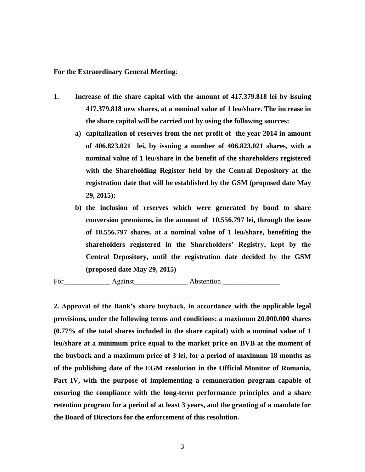**For the Extraordinary General Meeting**:

- **1. Increase of the share capital with the amount of 417.379.818 lei by issuing 417.379.818 new shares, at a nominal value of 1 leu/share. The increase in the share capital will be carried out by using the following sources:**
	- **a) capitalization of reserves from the net profit of the year 2014 in amount of 406.823.021 lei, by issuing a number of 406.823.021 shares, with a nominal value of 1 leu/share in the benefit of the shareholders registered with the Shareholding Register held by the Central Depository at the registration date that will be established by the GSM (proposed date May 29, 2015);**
	- **b) the inclusion of reserves which were generated by bond to share conversion premiums, in the amount of 10.556.797 lei, through the issue of 10.556.797 shares, at a nominal value of 1 leu/share, benefiting the shareholders registered in the Shareholders' Registry, kept by the Central Depository, until the registration date decided by the GSM (proposed date May 29, 2015)**

For\_\_\_\_\_\_\_\_\_\_\_\_\_ Against\_\_\_\_\_\_\_\_\_\_\_\_\_\_\_ Abstention \_\_\_\_\_\_\_\_\_\_\_\_\_\_\_\_

**2. Approval of the Bank's share buyback, in accordance with the applicable legal provisions, under the following terms and conditions: a maximum 20.000.000 shares (0.77% of the total shares included in the share capital) with a nominal value of 1 leu/share at a minimum price equal to the market price on BVB at the moment of the buyback and a maximum price of 3 lei, for a period of maximum 18 months as of the publishing date of the EGM resolution in the Official Monitor of Romania, Part IV, with the purpose of implementing a remuneration program capable of ensuring the compliance with the long-term performance principles and a share retention program for a period of at least 3 years, and the granting of a mandate for the Board of Directors for the enforcement of this resolution.**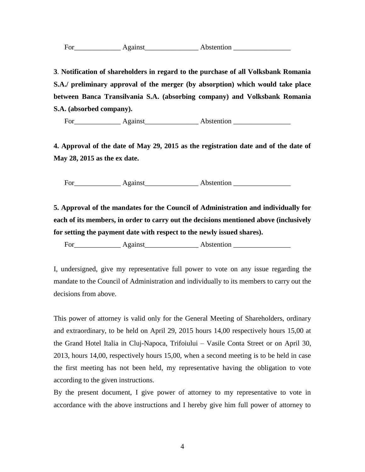**3**. **Notification of shareholders in regard to the purchase of all Volksbank Romania S.A./ preliminary approval of the merger (by absorption) which would take place between Banca Transilvania S.A. (absorbing company) and Volksbank Romania S.A. (absorbed company).** 

For\_\_\_\_\_\_\_\_\_\_\_\_\_ Against\_\_\_\_\_\_\_\_\_\_\_\_\_\_\_ Abstention \_\_\_\_\_\_\_\_\_\_\_\_\_\_\_\_

**4. Approval of the date of May 29, 2015 as the registration date and of the date of May 28, 2015 as the ex date.**

For\_\_\_\_\_\_\_\_\_\_\_\_\_ Against\_\_\_\_\_\_\_\_\_\_\_\_\_\_\_ Abstention \_\_\_\_\_\_\_\_\_\_\_\_\_\_\_\_

**5. Approval of the mandates for the Council of Administration and individually for each of its members, in order to carry out the decisions mentioned above (inclusively for setting the payment date with respect to the newly issued shares).**

For\_\_\_\_\_\_\_\_\_\_\_\_\_ Against\_\_\_\_\_\_\_\_\_\_\_\_\_\_\_ Abstention \_\_\_\_\_\_\_\_\_\_\_\_\_\_\_\_

I, undersigned, give my representative full power to vote on any issue regarding the mandate to the Council of Administration and individually to its members to carry out the decisions from above.

This power of attorney is valid only for the General Meeting of Shareholders, ordinary and extraordinary, to be held on April 29, 2015 hours 14,00 respectively hours 15,00 at the Grand Hotel Italia in Cluj-Napoca, Trifoiului – Vasile Conta Street or on April 30, 2013, hours 14,00, respectively hours 15,00, when a second meeting is to be held in case the first meeting has not been held, my representative having the obligation to vote according to the given instructions.

By the present document, I give power of attorney to my representative to vote in accordance with the above instructions and I hereby give him full power of attorney to